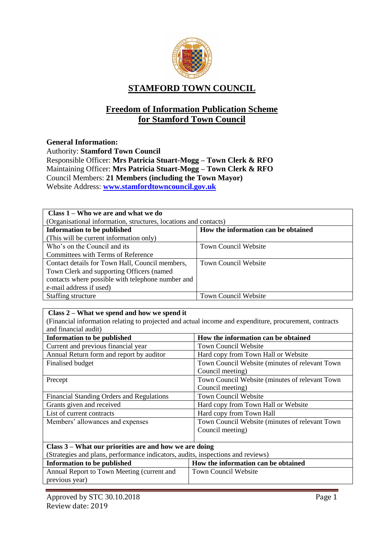

# **STAMFORD TOWN COUNCIL**

# **Freedom of Information Publication Scheme for Stamford Town Council**

## **General Information:**

Authority: **Stamford Town Council** Responsible Officer: **Mrs Patricia Stuart-Mogg – Town Clerk & RFO** Maintaining Officer: **Mrs Patricia Stuart-Mogg – Town Clerk & RFO** Council Members: **21 Members (including the Town Mayor)** Website Address: **[www.stamfordtowncouncil.gov.uk](http://www.stamfordtowncouncil.gov.uk/)**

| Class $1 - W$ ho we are and what we do                           |                                     |  |
|------------------------------------------------------------------|-------------------------------------|--|
| (Organisational information, structures, locations and contacts) |                                     |  |
| <b>Information to be published</b>                               | How the information can be obtained |  |
| (This will be current information only)                          |                                     |  |
| Who's on the Council and its                                     | <b>Town Council Website</b>         |  |
| Committees with Terms of Reference                               |                                     |  |
| Contact details for Town Hall, Council members,                  | <b>Town Council Website</b>         |  |
| Town Clerk and supporting Officers (named                        |                                     |  |
| contacts where possible with telephone number and                |                                     |  |
| e-mail address if used)                                          |                                     |  |
| Staffing structure                                               | <b>Town Council Website</b>         |  |

#### **Class 2 – What we spend and how we spend it**

(Financial information relating to projected and actual income and expenditure, procurement, contracts and financial audit)

| and mandial addit                                                               |                                                |  |
|---------------------------------------------------------------------------------|------------------------------------------------|--|
| <b>Information to be published</b>                                              | How the information can be obtained            |  |
| Current and previous financial year                                             | <b>Town Council Website</b>                    |  |
| Annual Return form and report by auditor                                        | Hard copy from Town Hall or Website            |  |
| Finalised budget                                                                | Town Council Website (minutes of relevant Town |  |
|                                                                                 | Council meeting)                               |  |
| Precept                                                                         | Town Council Website (minutes of relevant Town |  |
|                                                                                 | Council meeting)                               |  |
| Financial Standing Orders and Regulations                                       | <b>Town Council Website</b>                    |  |
| Grants given and received                                                       | Hard copy from Town Hall or Website            |  |
| List of current contracts                                                       | Hard copy from Town Hall                       |  |
| Members' allowances and expenses                                                | Town Council Website (minutes of relevant Town |  |
|                                                                                 | Council meeting)                               |  |
|                                                                                 |                                                |  |
| Class 3 – What our priorities are and how we are doing                          |                                                |  |
| (Strategies and plans, performance indicators, audits, inspections and reviews) |                                                |  |
| <b>Information to be published</b>                                              | How the information can be obtained            |  |

| Information to be published                | How the information can be obtained |
|--------------------------------------------|-------------------------------------|
| Annual Report to Town Meeting (current and | Town Council Website                |
| previous year)                             |                                     |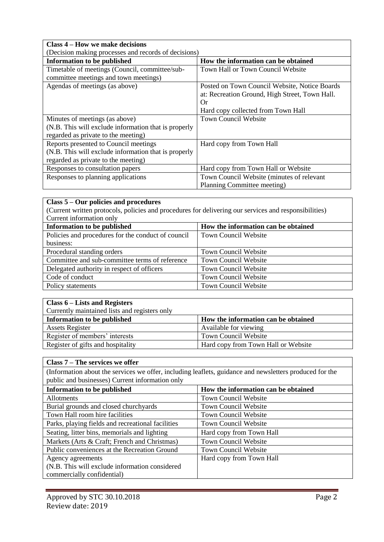| Class 4 – How we make decisions                      |                                                |  |
|------------------------------------------------------|------------------------------------------------|--|
| (Decision making processes and records of decisions) |                                                |  |
| <b>Information to be published</b>                   | How the information can be obtained            |  |
| Timetable of meetings (Council, committee/sub-       | Town Hall or Town Council Website              |  |
| committee meetings and town meetings)                |                                                |  |
| Agendas of meetings (as above)                       | Posted on Town Council Website, Notice Boards  |  |
|                                                      | at: Recreation Ground, High Street, Town Hall. |  |
|                                                      | Or                                             |  |
|                                                      | Hard copy collected from Town Hall             |  |
| Minutes of meetings (as above)                       | <b>Town Council Website</b>                    |  |
| (N.B. This will exclude information that is properly |                                                |  |
| regarded as private to the meeting)                  |                                                |  |
| Reports presented to Council meetings                | Hard copy from Town Hall                       |  |
| (N.B. This will exclude information that is properly |                                                |  |
| regarded as private to the meeting)                  |                                                |  |
| Responses to consultation papers                     | Hard copy from Town Hall or Website            |  |
| Responses to planning applications                   | Town Council Website (minutes of relevant      |  |
|                                                      | Planning Committee meeting)                    |  |

# **Class 5 – Our policies and procedures**

(Current written protocols, policies and procedures for delivering our services and responsibilities) Current information only

| Information to be published                        | How the information can be obtained |
|----------------------------------------------------|-------------------------------------|
| Policies and procedures for the conduct of council | <b>Town Council Website</b>         |
| business:                                          |                                     |
| Procedural standing orders                         | <b>Town Council Website</b>         |
| Committee and sub-committee terms of reference     | <b>Town Council Website</b>         |
| Delegated authority in respect of officers         | <b>Town Council Website</b>         |
| Code of conduct                                    | <b>Town Council Website</b>         |
| Policy statements                                  | <b>Town Council Website</b>         |

| Class $6$ – Lists and Registers               |                                     |
|-----------------------------------------------|-------------------------------------|
| Currently maintained lists and registers only |                                     |
| Information to be published                   | How the information can be obtained |
| <b>Assets Register</b>                        | Available for viewing               |
| Register of members' interests                | <b>Town Council Website</b>         |
| Register of gifts and hospitality             | Hard copy from Town Hall or Website |

| Class $7 -$ The services we offer                                                                       |                                     |  |
|---------------------------------------------------------------------------------------------------------|-------------------------------------|--|
| (Information about the services we offer, including leaflets, guidance and newsletters produced for the |                                     |  |
| public and businesses) Current information only                                                         |                                     |  |
| <b>Information to be published</b>                                                                      | How the information can be obtained |  |
| <b>Allotments</b>                                                                                       | <b>Town Council Website</b>         |  |
| Burial grounds and closed churchyards                                                                   | <b>Town Council Website</b>         |  |
| Town Hall room hire facilities                                                                          | Town Council Website                |  |
| Parks, playing fields and recreational facilities                                                       | <b>Town Council Website</b>         |  |
| Seating, litter bins, memorials and lighting                                                            | Hard copy from Town Hall            |  |
| Markets (Arts & Craft; French and Christmas)                                                            | <b>Town Council Website</b>         |  |
| Public conveniences at the Recreation Ground                                                            | <b>Town Council Website</b>         |  |
| Agency agreements                                                                                       | Hard copy from Town Hall            |  |
| (N.B. This will exclude information considered                                                          |                                     |  |
| commercially confidential)                                                                              |                                     |  |